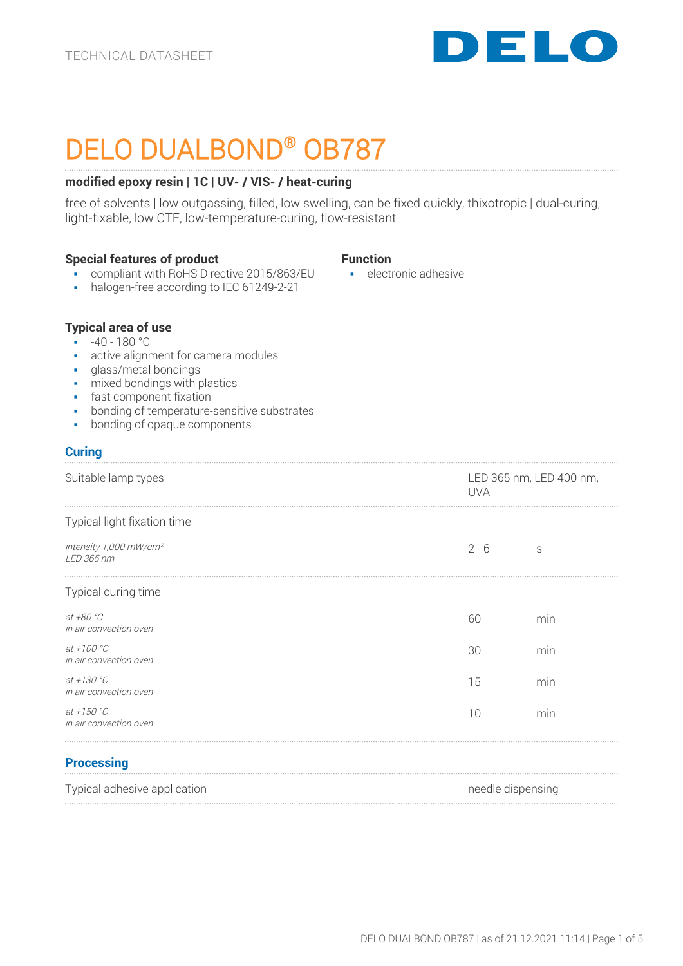

# DELO DUALBOND® OB787

# **modified epoxy resin | 1C | UV- / VIS- / heat-curing**

free of solvents | low outgassing, filled, low swelling, can be fixed quickly, thixotropic | dual-curing, light-fixable, low CTE, low-temperature-curing, flow-resistant

### **Special features of product**

- **Function**
- **compliant with RoHS Directive 2015/863/EU**
- halogen-free according to IEC 61249-2-21

■ electronic adhesive

# **Typical area of use**

- $\cdot$  -40 180 °C
- active alignment for camera modules
- glass/metal bondings
- mixed bondings with plastics
- **•** fast component fixation
- bonding of temperature-sensitive substrates
- bonding of opaque components

# **Curing**

| Suitable lamp types                              | <b>UVA</b> | LED 365 nm, LED 400 nm, |  |
|--------------------------------------------------|------------|-------------------------|--|
| Typical light fixation time                      |            |                         |  |
| intensity 1,000 mW/cm <sup>2</sup><br>LED 365 nm | $2 - 6$    | S                       |  |
| Typical curing time                              |            |                         |  |
| at +80 °C<br>in air convection oven              | 60         | min                     |  |
| at +100 $^{\circ}$ C<br>in air convection oven   | 30         | min                     |  |
| at +130 $^{\circ}C$<br>in air convection oven    | 15         | min                     |  |
| at $+150 °C$<br>in air convection oven           | 10         | min                     |  |
|                                                  |            |                         |  |

# **Processing**

| Typical adhesive application | needle dispensing |
|------------------------------|-------------------|
|                              |                   |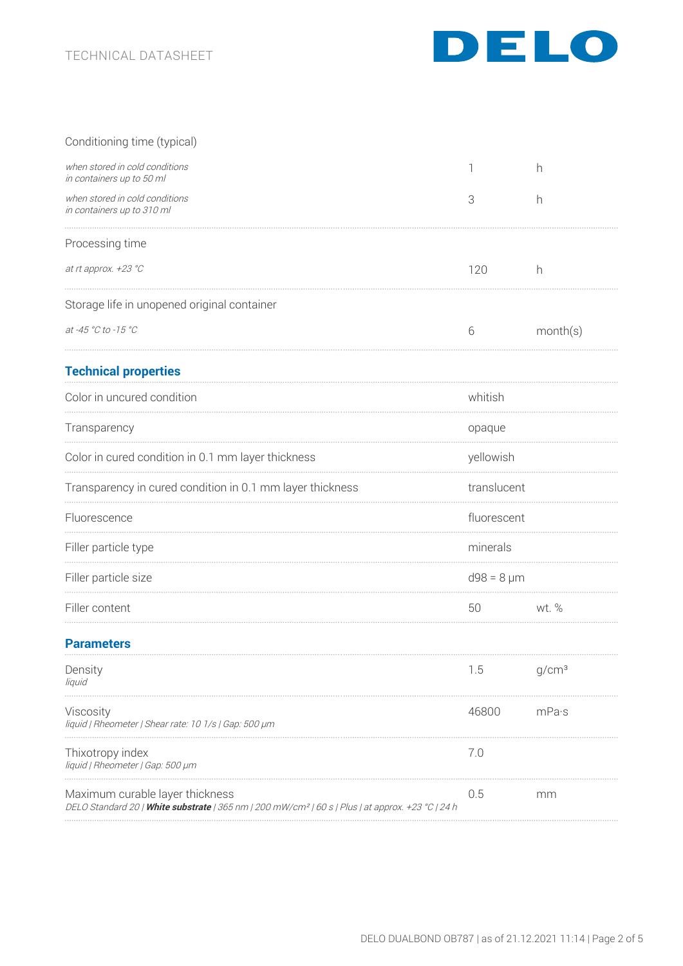

| Conditioning time (typical)                                                                                                                      |                 |                   |
|--------------------------------------------------------------------------------------------------------------------------------------------------|-----------------|-------------------|
| when stored in cold conditions<br>in containers up to 50 ml                                                                                      |                 | h                 |
| when stored in cold conditions<br>in containers up to 310 ml                                                                                     | 3               | h                 |
| Processing time                                                                                                                                  |                 |                   |
| at rt approx. +23 °C                                                                                                                             | 120             | h                 |
| Storage life in unopened original container                                                                                                      |                 |                   |
| at -45 °C to -15 °C                                                                                                                              | 6               | month(s)          |
| <b>Technical properties</b>                                                                                                                      |                 |                   |
| Color in uncured condition                                                                                                                       | whitish         |                   |
| Transparency                                                                                                                                     | opaque          |                   |
| Color in cured condition in 0.1 mm layer thickness                                                                                               | yellowish       |                   |
| Transparency in cured condition in 0.1 mm layer thickness                                                                                        | translucent     |                   |
| Fluorescence                                                                                                                                     | fluorescent     |                   |
| Filler particle type                                                                                                                             | minerals        |                   |
| Filler particle size                                                                                                                             | $d98 = 8 \mu m$ |                   |
| Filler content                                                                                                                                   | 50              | wt. %             |
| <b>Parameters</b>                                                                                                                                |                 |                   |
| Density<br>liquid                                                                                                                                | 1.5             | g/cm <sup>3</sup> |
| Viscosity<br>liquid   Rheometer   Shear rate: 10 1/s   Gap: 500 µm                                                                               | 46800           | mPa·s             |
| Thixotropy index<br>liquid   Rheometer   Gap: 500 µm                                                                                             | 7.0             |                   |
| Maximum curable layer thickness<br>DELO Standard 20   White substrate   365 nm   200 mW/cm <sup>2</sup>   60 s   Plus   at approx. +23 °C   24 h | 0.5             | mm                |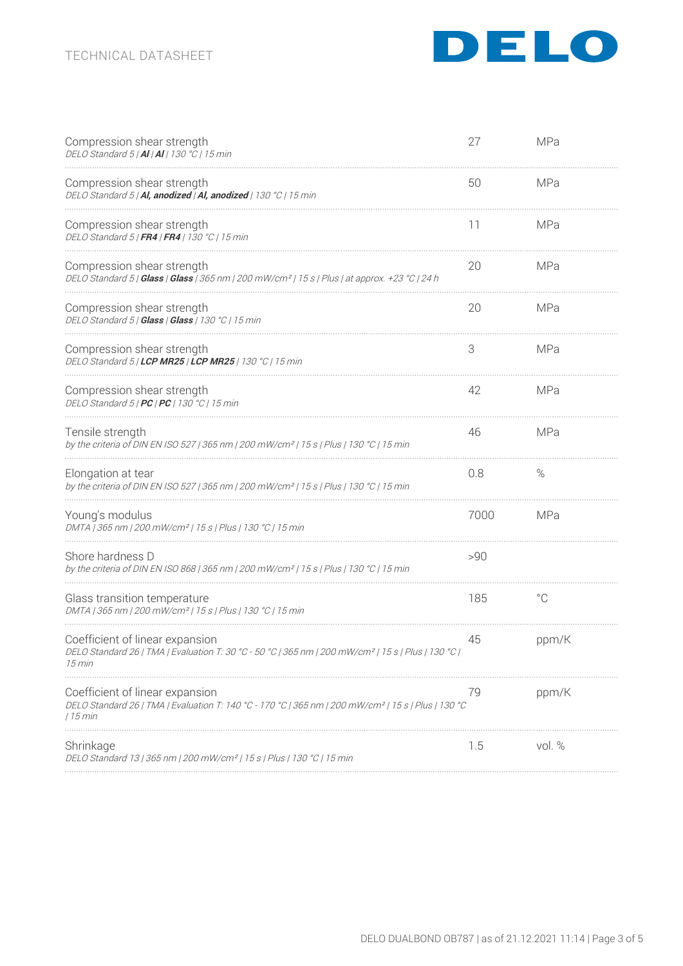

| Compression shear strength<br>DELO Standard 5   AI   AI   130 °C   15 min                                                                                      | 27   | MPa          |
|----------------------------------------------------------------------------------------------------------------------------------------------------------------|------|--------------|
| Compression shear strength<br>DELO Standard 5   Al, anodized   Al, anodized   130 °C   15 min                                                                  | 50   | MPa          |
| Compression shear strength<br>DELO Standard 5   FR4   FR4   130 °C   15 min                                                                                    | 11   | MPa          |
| Compression shear strength<br>DELO Standard 5   Glass   Glass   365 nm   200 mW/cm <sup>2</sup>   15 s   Plus   at approx. +23 °C   24 h                       | 20   | <b>MPa</b>   |
| Compression shear strength<br>DELO Standard 5   Glass   Glass   130 °C   15 min                                                                                | 20   | MPa          |
| Compression shear strength<br>DELO Standard 5   LCP MR25   LCP MR25   130 °C   15 min                                                                          | 3    | MPa          |
| Compression shear strength<br>DELO Standard 5   PC   PC   130 °C   15 min                                                                                      | 42   | MPa          |
| Tensile strength<br>by the criteria of DIN EN ISO 527   365 nm   200 mW/cm <sup>2</sup>   15 s   Plus   130 °C   15 min                                        | 46   | MPa          |
| Elongation at tear<br>by the criteria of DIN EN ISO 527   365 nm   200 mW/cm <sup>2</sup>   15 s   Plus   130 °C   15 min                                      | 0.8  | $\%$         |
| Young's modulus<br>DMTA   365 nm   200 mW/cm <sup>2</sup>   15 s   Plus   130 °C   15 min                                                                      | 7000 | MPa          |
| Shore hardness D<br>by the criteria of DIN EN ISO 868   365 nm   200 mW/cm <sup>2</sup>   15 s   Plus   130 °C   15 min                                        | >90  |              |
| Glass transition temperature<br>DMTA   365 nm   200 mW/cm²   15 s   Plus   130 °C   15 min                                                                     | 185  | $^{\circ}$ C |
| Coefficient of linear expansion<br>DELO Standard 26   TMA   Evaluation T: 30 °C - 50 °C   365 nm   200 mW/cm <sup>2</sup>   15 s   Plus   130 °C  <br>15 min   | 45   | ppm/K        |
| Coefficient of linear expansion<br>DELO Standard 26   TMA   Evaluation T: 140 °C - 170 °C   365 nm   200 mW/cm <sup>2</sup>   15 s   Plus   130 °C<br>  15 min | 79   | ppm/K        |
| Shrinkage<br>DELO Standard 13   365 nm   200 mW/cm <sup>2</sup>   15 s   Plus   130 °C   15 min                                                                | 1.5  | vol. %       |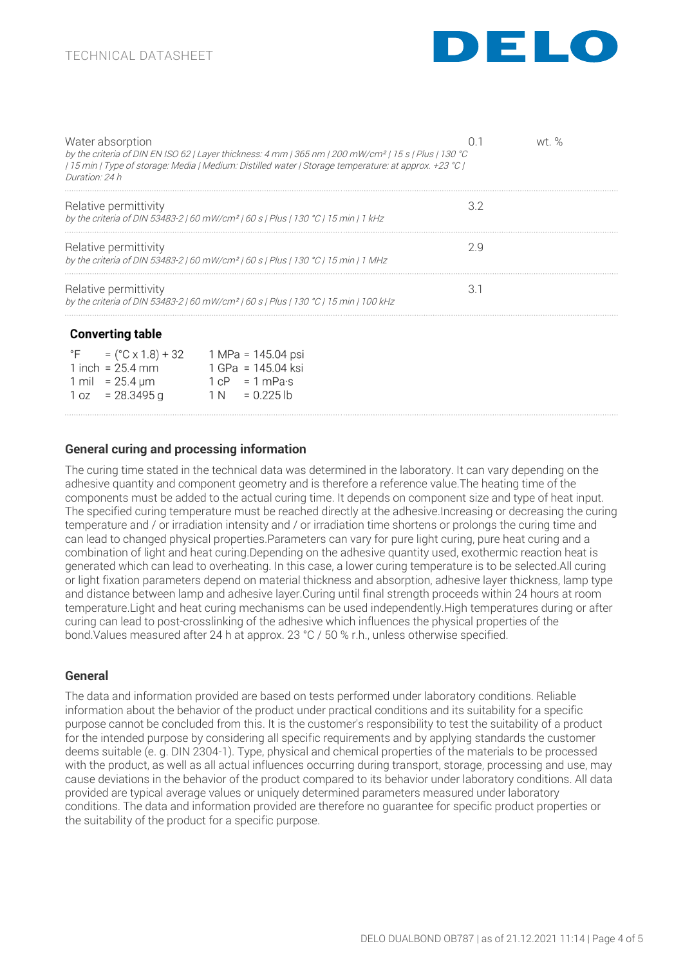

| Water absorption<br>by the criteria of DIN EN ISO 62   Layer thickness: 4 mm   365 nm   200 mW/cm <sup>2</sup>   15 s   Plus   130 °C<br>[2] [2] T5 min   Type of storage: Media   Medium: Distilled water   Storage temperature: at approx. +23 [1]<br>Duration: 24 h |     | wt % |
|------------------------------------------------------------------------------------------------------------------------------------------------------------------------------------------------------------------------------------------------------------------------|-----|------|
| Relative permittivity<br>by the criteria of DIN 53483-2   60 mW/cm <sup>2</sup>   60 s   Plus   130 °C   15 min   1 kHz                                                                                                                                                | 32  |      |
| Relative permittivity<br>by the criteria of DIN 53483-2   60 mW/cm <sup>2</sup>   60 s   Plus   130 °C   15 min   1 MHz                                                                                                                                                | 2 q |      |
| Relative permittivity<br>by the criteria of DIN 53483-2   60 mW/cm <sup>2</sup>   60 s   Plus   130 °C   15 min   100 kHz                                                                                                                                              |     |      |

### **Converting table**

| $\mathsf{P}$ $\mathsf{F}$ | $=$ (°C x 1.8) + 32             | 1 MPa = 145.04 psi               |
|---------------------------|---------------------------------|----------------------------------|
|                           | 1 inch = $25.4$ mm              | 1 GPa = 145.04 ksi               |
|                           | 1 mil = $25.4 \,\mathrm{\mu m}$ | $1 \text{ cP} = 1 \text{ mPa·s}$ |
|                           | $1 oz = 28.3495 g$              | $= 0.225$ lb<br>1 N              |
|                           |                                 |                                  |

# **General curing and processing information**

The curing time stated in the technical data was determined in the laboratory. It can vary depending on the adhesive quantity and component geometry and is therefore a reference value.The heating time of the components must be added to the actual curing time. It depends on component size and type of heat input. The specified curing temperature must be reached directly at the adhesive.Increasing or decreasing the curing temperature and / or irradiation intensity and / or irradiation time shortens or prolongs the curing time and can lead to changed physical properties.Parameters can vary for pure light curing, pure heat curing and a combination of light and heat curing.Depending on the adhesive quantity used, exothermic reaction heat is generated which can lead to overheating. In this case, a lower curing temperature is to be selected.All curing or light fixation parameters depend on material thickness and absorption, adhesive layer thickness, lamp type and distance between lamp and adhesive layer.Curing until final strength proceeds within 24 hours at room temperature.Light and heat curing mechanisms can be used independently.High temperatures during or after curing can lead to post-crosslinking of the adhesive which influences the physical properties of the bond.Values measured after 24 h at approx. 23 °C / 50 % r.h., unless otherwise specified.

### **General**

The data and information provided are based on tests performed under laboratory conditions. Reliable information about the behavior of the product under practical conditions and its suitability for a specific purpose cannot be concluded from this. It is the customer's responsibility to test the suitability of a product for the intended purpose by considering all specific requirements and by applying standards the customer deems suitable (e. g. DIN 2304-1). Type, physical and chemical properties of the materials to be processed with the product, as well as all actual influences occurring during transport, storage, processing and use, may cause deviations in the behavior of the product compared to its behavior under laboratory conditions. All data provided are typical average values or uniquely determined parameters measured under laboratory conditions. The data and information provided are therefore no guarantee for specific product properties or the suitability of the product for a specific purpose.